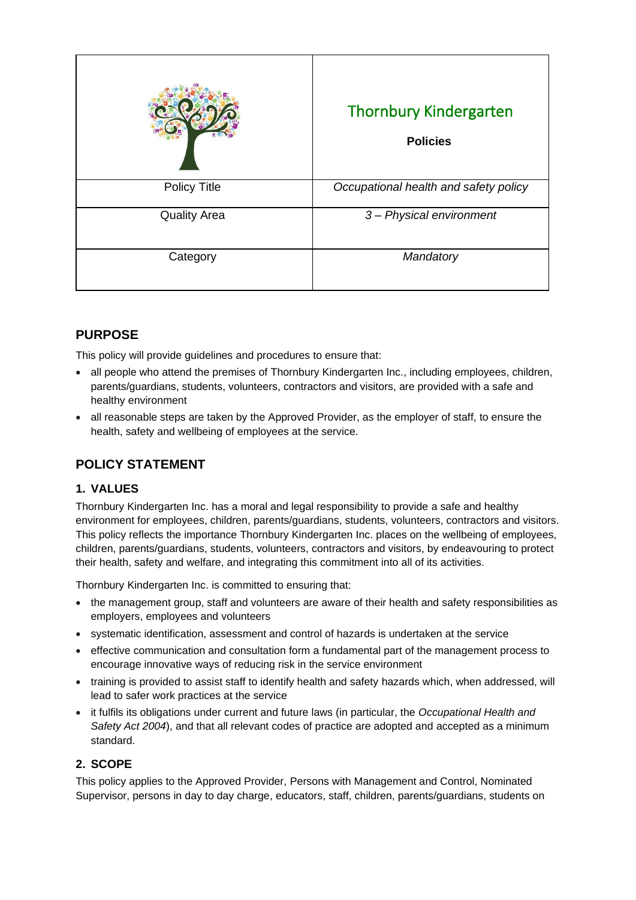|                     | <b>Thornbury Kindergarten</b><br><b>Policies</b> |
|---------------------|--------------------------------------------------|
| <b>Policy Title</b> | Occupational health and safety policy            |
| <b>Quality Area</b> | 3- Physical environment                          |
| Category            | Mandatory                                        |

# **PURPOSE**

This policy will provide guidelines and procedures to ensure that:

- all people who attend the premises of Thornbury Kindergarten Inc., including employees, children, parents/guardians, students, volunteers, contractors and visitors, are provided with a safe and healthy environment
- all reasonable steps are taken by the Approved Provider, as the employer of staff, to ensure the health, safety and wellbeing of employees at the service.

# **POLICY STATEMENT**

## **1. VALUES**

Thornbury Kindergarten Inc. has a moral and legal responsibility to provide a safe and healthy environment for employees, children, parents/guardians, students, volunteers, contractors and visitors. This policy reflects the importance Thornbury Kindergarten Inc. places on the wellbeing of employees, children, parents/guardians, students, volunteers, contractors and visitors, by endeavouring to protect their health, safety and welfare, and integrating this commitment into all of its activities.

Thornbury Kindergarten Inc. is committed to ensuring that:

- the management group, staff and volunteers are aware of their health and safety responsibilities as employers, employees and volunteers
- systematic identification, assessment and control of hazards is undertaken at the service
- effective communication and consultation form a fundamental part of the management process to encourage innovative ways of reducing risk in the service environment
- training is provided to assist staff to identify health and safety hazards which, when addressed, will lead to safer work practices at the service
- it fulfils its obligations under current and future laws (in particular, the *Occupational Health and Safety Act 2004*), and that all relevant codes of practice are adopted and accepted as a minimum standard.

### **2. SCOPE**

This policy applies to the Approved Provider, Persons with Management and Control, Nominated Supervisor, persons in day to day charge, educators, staff, children, parents/guardians, students on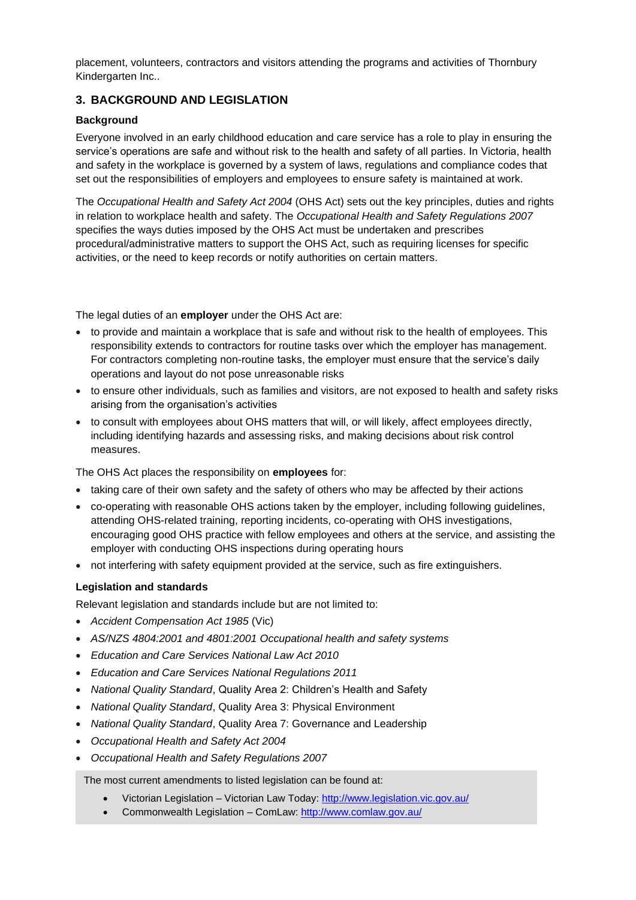placement, volunteers, contractors and visitors attending the programs and activities of Thornbury Kindergarten Inc..

### **3. BACKGROUND AND LEGISLATION**

#### **Background**

Everyone involved in an early childhood education and care service has a role to play in ensuring the service's operations are safe and without risk to the health and safety of all parties. In Victoria, health and safety in the workplace is governed by a system of laws, regulations and compliance codes that set out the responsibilities of employers and employees to ensure safety is maintained at work.

The *Occupational Health and Safety Act 2004* (OHS Act) sets out the key principles, duties and rights in relation to workplace health and safety. The *Occupational Health and Safety Regulations 2007* specifies the ways duties imposed by the OHS Act must be undertaken and prescribes procedural/administrative matters to support the OHS Act, such as requiring licenses for specific activities, or the need to keep records or notify authorities on certain matters.

The legal duties of an **employer** under the OHS Act are:

- to provide and maintain a workplace that is safe and without risk to the health of employees. This responsibility extends to contractors for routine tasks over which the employer has management. For contractors completing non-routine tasks, the employer must ensure that the service's daily operations and layout do not pose unreasonable risks
- to ensure other individuals, such as families and visitors, are not exposed to health and safety risks arising from the organisation's activities
- to consult with employees about OHS matters that will, or will likely, affect employees directly, including identifying hazards and assessing risks, and making decisions about risk control measures.

The OHS Act places the responsibility on **employees** for:

- taking care of their own safety and the safety of others who may be affected by their actions
- co-operating with reasonable OHS actions taken by the employer, including following guidelines, attending OHS-related training, reporting incidents, co-operating with OHS investigations, encouraging good OHS practice with fellow employees and others at the service, and assisting the employer with conducting OHS inspections during operating hours
- not interfering with safety equipment provided at the service, such as fire extinguishers.

#### **Legislation and standards**

Relevant legislation and standards include but are not limited to:

- *Accident Compensation Act 1985* (Vic)
- *AS/NZS 4804:2001 and 4801:2001 Occupational health and safety systems*
- *Education and Care Services National Law Act 2010*
- *Education and Care Services National Regulations 2011*
- *National Quality Standard*, Quality Area 2: Children's Health and Safety
- *National Quality Standard*, Quality Area 3: Physical Environment
- *National Quality Standard*, Quality Area 7: Governance and Leadership
- *Occupational Health and Safety Act 2004*
- *Occupational Health and Safety Regulations 2007*

The most current amendments to listed legislation can be found at:

- Victorian Legislation Victorian Law Today: <http://www.legislation.vic.gov.au/>
- Commonwealth Legislation ComLaw:<http://www.comlaw.gov.au/>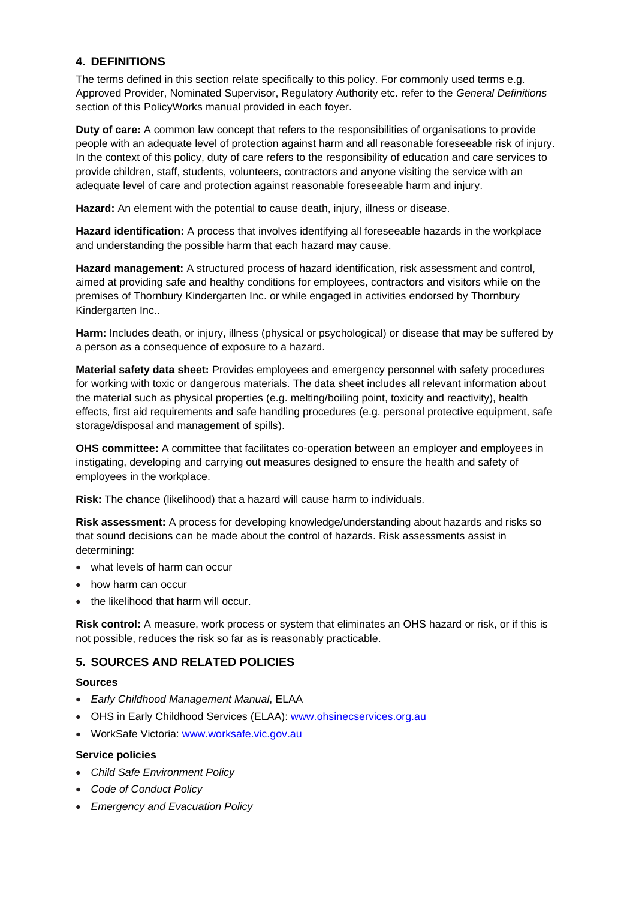### **4. DEFINITIONS**

The terms defined in this section relate specifically to this policy. For commonly used terms e.g. Approved Provider, Nominated Supervisor, Regulatory Authority etc. refer to the *General Definitions* section of this PolicyWorks manual provided in each foyer.

**Duty of care:** A common law concept that refers to the responsibilities of organisations to provide people with an adequate level of protection against harm and all reasonable foreseeable risk of injury. In the context of this policy, duty of care refers to the responsibility of education and care services to provide children, staff, students, volunteers, contractors and anyone visiting the service with an adequate level of care and protection against reasonable foreseeable harm and injury.

**Hazard:** An element with the potential to cause death, injury, illness or disease.

**Hazard identification:** A process that involves identifying all foreseeable hazards in the workplace and understanding the possible harm that each hazard may cause.

**Hazard management:** A structured process of hazard identification, risk assessment and control, aimed at providing safe and healthy conditions for employees, contractors and visitors while on the premises of Thornbury Kindergarten Inc. or while engaged in activities endorsed by Thornbury Kindergarten Inc..

**Harm:** Includes death, or injury, illness (physical or psychological) or disease that may be suffered by a person as a consequence of exposure to a hazard.

**Material safety data sheet:** Provides employees and emergency personnel with safety procedures for working with toxic or dangerous materials. The data sheet includes all relevant information about the material such as physical properties (e.g. melting/boiling point, toxicity and reactivity), health effects, first aid requirements and safe handling procedures (e.g. personal protective equipment, safe storage/disposal and management of spills).

**OHS committee:** A committee that facilitates co-operation between an employer and employees in instigating, developing and carrying out measures designed to ensure the health and safety of employees in the workplace.

**Risk:** The chance (likelihood) that a hazard will cause harm to individuals.

**Risk assessment:** A process for developing knowledge/understanding about hazards and risks so that sound decisions can be made about the control of hazards. Risk assessments assist in determining:

- what levels of harm can occur
- how harm can occur
- the likelihood that harm will occur.

**Risk control:** A measure, work process or system that eliminates an OHS hazard or risk, or if this is not possible, reduces the risk so far as is reasonably practicable.

## **5. SOURCES AND RELATED POLICIES**

#### **Sources**

- *Early Childhood Management Manual*, ELAA
- OHS in Early Childhood Services (ELAA): [www.ohsinecservices.org.au](http://www.ohsinecservices.org.au/)
- WorkSafe Victoria: [www.worksafe.vic.gov.au](http://www.worksafe.vic.gov.au/)

#### **Service policies**

- *Child Safe Environment Policy*
- *Code of Conduct Policy*
- *Emergency and Evacuation Policy*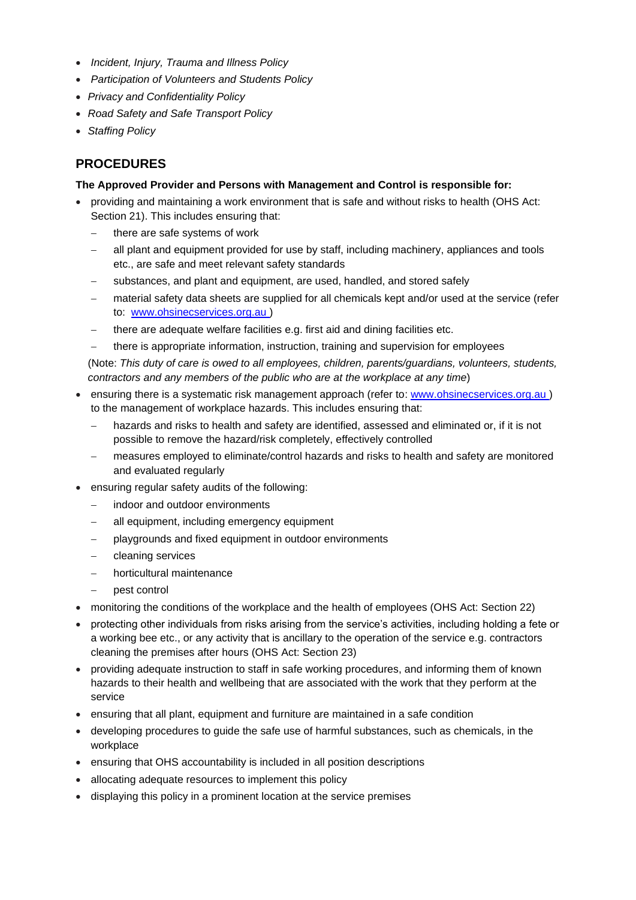- *Incident, Injury, Trauma and Illness Policy*
- *Participation of Volunteers and Students Policy*
- *Privacy and Confidentiality Policy*
- *Road Safety and Safe Transport Policy*
- *Staffing Policy*

# **PROCEDURES**

#### **The Approved Provider and Persons with Management and Control is responsible for:**

- providing and maintaining a work environment that is safe and without risks to health (OHS Act: Section 21). This includes ensuring that:
	- there are safe systems of work
	- all plant and equipment provided for use by staff, including machinery, appliances and tools etc., are safe and meet relevant safety standards
	- substances, and plant and equipment, are used, handled, and stored safely
	- material safety data sheets are supplied for all chemicals kept and/or used at the service (refer to: [www.ohsinecservices.org.au](http://www.ohsinecservices.org.au/) )
	- there are adequate welfare facilities e.g. first aid and dining facilities etc.
	- there is appropriate information, instruction, training and supervision for employees

(Note: *This duty of care is owed to all employees, children, parents/guardians, volunteers, students, contractors and any members of the public who are at the workplace at any time*)

- ensuring there is a systematic risk management approach (refer to: [www.ohsinecservices.org.au](http://www.ohsinecservices.org.au/)) to the management of workplace hazards. This includes ensuring that:
	- hazards and risks to health and safety are identified, assessed and eliminated or, if it is not possible to remove the hazard/risk completely, effectively controlled
	- − measures employed to eliminate/control hazards and risks to health and safety are monitored and evaluated regularly
- ensuring regular safety audits of the following:
	- indoor and outdoor environments
	- all equipment, including emergency equipment
	- playgrounds and fixed equipment in outdoor environments
	- − cleaning services
	- − horticultural maintenance
	- − pest control
- monitoring the conditions of the workplace and the health of employees (OHS Act: Section 22)
- protecting other individuals from risks arising from the service's activities, including holding a fete or a working bee etc., or any activity that is ancillary to the operation of the service e.g. contractors cleaning the premises after hours (OHS Act: Section 23)
- providing adequate instruction to staff in safe working procedures, and informing them of known hazards to their health and wellbeing that are associated with the work that they perform at the service
- ensuring that all plant, equipment and furniture are maintained in a safe condition
- developing procedures to guide the safe use of harmful substances, such as chemicals, in the workplace
- ensuring that OHS accountability is included in all position descriptions
- allocating adequate resources to implement this policy
- displaying this policy in a prominent location at the service premises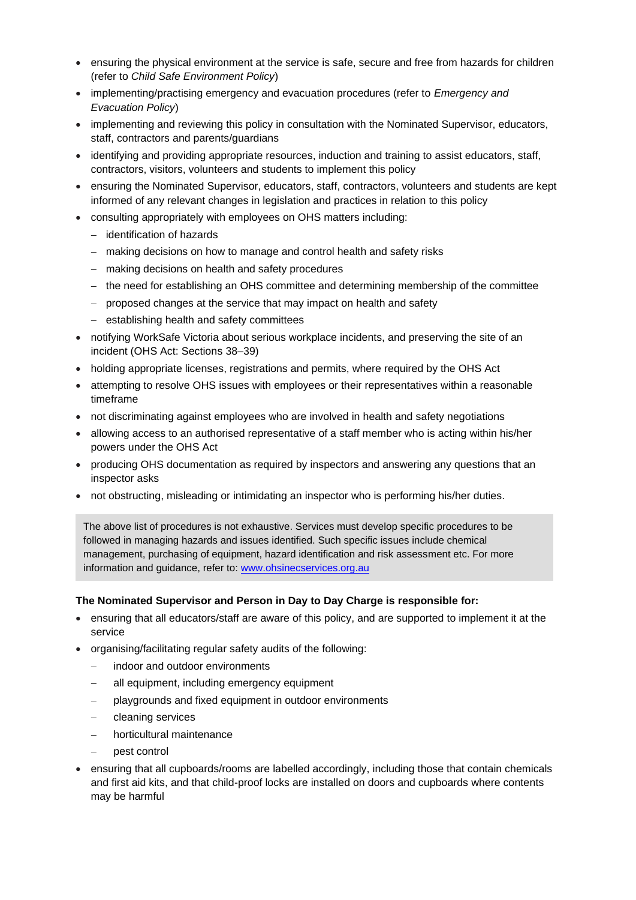- ensuring the physical environment at the service is safe, secure and free from hazards for children (refer to *Child Safe Environment Policy*)
- implementing/practising emergency and evacuation procedures (refer to *Emergency and Evacuation Policy*)
- implementing and reviewing this policy in consultation with the Nominated Supervisor, educators, staff, contractors and parents/guardians
- identifying and providing appropriate resources, induction and training to assist educators, staff, contractors, visitors, volunteers and students to implement this policy
- ensuring the Nominated Supervisor, educators, staff, contractors, volunteers and students are kept informed of any relevant changes in legislation and practices in relation to this policy
- consulting appropriately with employees on OHS matters including:
	- − identification of hazards
	- − making decisions on how to manage and control health and safety risks
	- − making decisions on health and safety procedures
	- − the need for establishing an OHS committee and determining membership of the committee
	- − proposed changes at the service that may impact on health and safety
	- − establishing health and safety committees
- notifying WorkSafe Victoria about serious workplace incidents, and preserving the site of an incident (OHS Act: Sections 38–39)
- holding appropriate licenses, registrations and permits, where required by the OHS Act
- attempting to resolve OHS issues with employees or their representatives within a reasonable timeframe
- not discriminating against employees who are involved in health and safety negotiations
- allowing access to an authorised representative of a staff member who is acting within his/her powers under the OHS Act
- producing OHS documentation as required by inspectors and answering any questions that an inspector asks
- not obstructing, misleading or intimidating an inspector who is performing his/her duties.

The above list of procedures is not exhaustive. Services must develop specific procedures to be followed in managing hazards and issues identified. Such specific issues include chemical management, purchasing of equipment, hazard identification and risk assessment etc. For more information and guidance, refer to: [www.ohsinecservices.org.au](http://www.ohsinecservices.org.au/)

#### **The Nominated Supervisor and Person in Day to Day Charge is responsible for:**

- ensuring that all educators/staff are aware of this policy, and are supported to implement it at the service
- organising/facilitating regular safety audits of the following:
	- indoor and outdoor environments
	- all equipment, including emergency equipment
	- playgrounds and fixed equipment in outdoor environments
	- − cleaning services
	- − horticultural maintenance
	- − pest control
- ensuring that all cupboards/rooms are labelled accordingly, including those that contain chemicals and first aid kits, and that child-proof locks are installed on doors and cupboards where contents may be harmful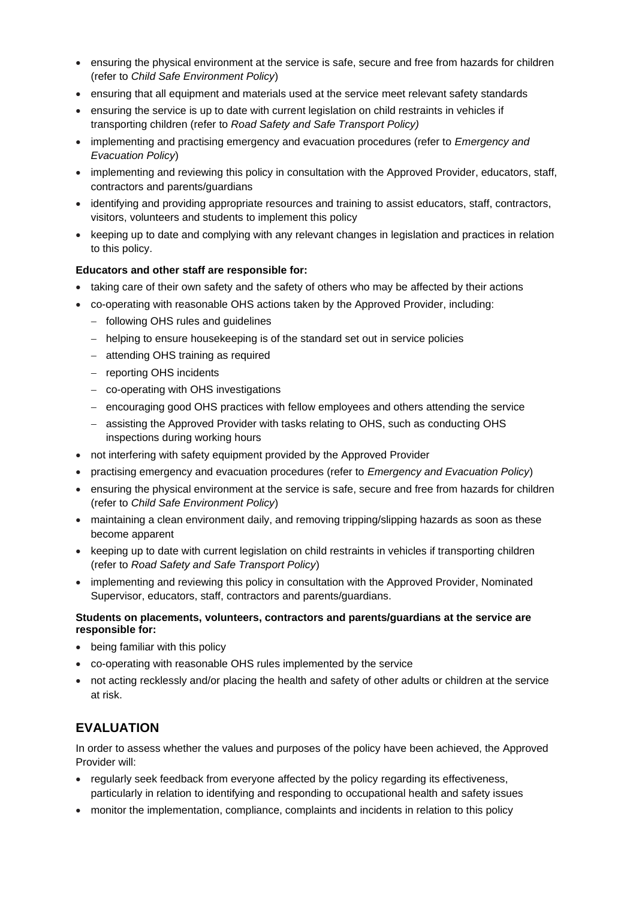- ensuring the physical environment at the service is safe, secure and free from hazards for children (refer to *Child Safe Environment Policy*)
- ensuring that all equipment and materials used at the service meet relevant safety standards
- ensuring the service is up to date with current legislation on child restraints in vehicles if transporting children (refer to *Road Safety and Safe Transport Policy)*
- implementing and practising emergency and evacuation procedures (refer to *Emergency and Evacuation Policy*)
- implementing and reviewing this policy in consultation with the Approved Provider, educators, staff, contractors and parents/guardians
- identifying and providing appropriate resources and training to assist educators, staff, contractors, visitors, volunteers and students to implement this policy
- keeping up to date and complying with any relevant changes in legislation and practices in relation to this policy.

#### **Educators and other staff are responsible for:**

- taking care of their own safety and the safety of others who may be affected by their actions
- co-operating with reasonable OHS actions taken by the Approved Provider, including:
	- − following OHS rules and guidelines
	- − helping to ensure housekeeping is of the standard set out in service policies
	- − attending OHS training as required
	- − reporting OHS incidents
	- − co-operating with OHS investigations
	- − encouraging good OHS practices with fellow employees and others attending the service
	- − assisting the Approved Provider with tasks relating to OHS, such as conducting OHS inspections during working hours
- not interfering with safety equipment provided by the Approved Provider
- practising emergency and evacuation procedures (refer to *Emergency and Evacuation Policy*)
- ensuring the physical environment at the service is safe, secure and free from hazards for children (refer to *Child Safe Environment Policy*)
- maintaining a clean environment daily, and removing tripping/slipping hazards as soon as these become apparent
- keeping up to date with current legislation on child restraints in vehicles if transporting children (refer to *Road Safety and Safe Transport Policy*)
- implementing and reviewing this policy in consultation with the Approved Provider, Nominated Supervisor, educators, staff, contractors and parents/guardians.

#### **Students on placements, volunteers, contractors and parents/guardians at the service are responsible for:**

- being familiar with this policy
- co-operating with reasonable OHS rules implemented by the service
- not acting recklessly and/or placing the health and safety of other adults or children at the service at risk.

# **EVALUATION**

In order to assess whether the values and purposes of the policy have been achieved, the Approved Provider will:

- regularly seek feedback from everyone affected by the policy regarding its effectiveness, particularly in relation to identifying and responding to occupational health and safety issues
- monitor the implementation, compliance, complaints and incidents in relation to this policy